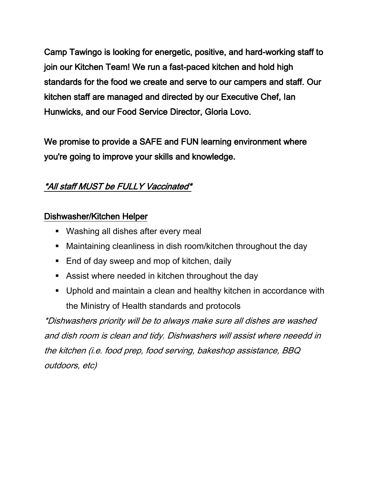Camp Tawingo is looking for energetic, positive, and hard-working staff to join our Kitchen Team! We run a fast-paced kitchen and hold high standards for the food we create and serve to our campers and staff. Our kitchen staff are managed and directed by our Executive Chef, Ian Hunwicks, and our Food Service Director, Gloria Lovo.

We promise to provide a SAFE and FUN learning environment where you're going to improve your skills and knowledge.

# \*All staff MUST be FULLY Vaccinated\*

#### Dishwasher/Kitchen Helper

- **Washing all dishes after every meal**
- Maintaining cleanliness in dish room/kitchen throughout the day
- End of day sweep and mop of kitchen, daily
- Assist where needed in kitchen throughout the day
- Uphold and maintain a clean and healthy kitchen in accordance with the Ministry of Health standards and protocols

\*Dishwashers priority will be to always make sure all dishes are washed and dish room is clean and tidy. Dishwashers will assist where neeedd in the kitchen (i.e. food prep, food serving, bakeshop assistance, BBQ outdoors, etc)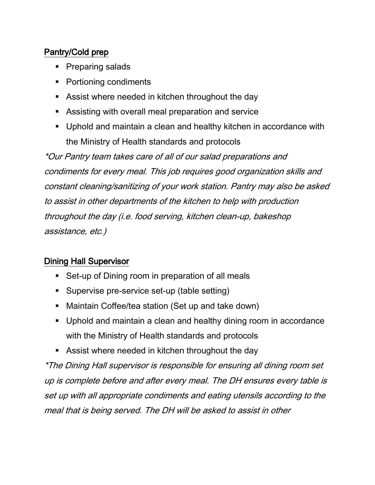# Pantry/Cold prep

- Preparing salads
- Portioning condiments
- Assist where needed in kitchen throughout the day
- Assisting with overall meal preparation and service
- Uphold and maintain a clean and healthy kitchen in accordance with the Ministry of Health standards and protocols

\*Our Pantry team takes care of all of our salad preparations and condiments for every meal. This job requires good organization skills and constant cleaning/sanitizing of your work station. Pantry may also be asked to assist in other departments of the kitchen to help with production throughout the day (i.e. food serving, kitchen clean-up, bakeshop assistance, etc.)

## Dining Hall Supervisor

- Set-up of Dining room in preparation of all meals
- **Supervise pre-service set-up (table setting)**
- Maintain Coffee/tea station (Set up and take down)
- Uphold and maintain a clean and healthy dining room in accordance with the Ministry of Health standards and protocols
- Assist where needed in kitchen throughout the day

\*The Dining Hall supervisor is responsible for ensuring all dining room set up is complete before and after every meal. The DH ensures every table is set up with all appropriate condiments and eating utensils according to the meal that is being served. The DH will be asked to assist in other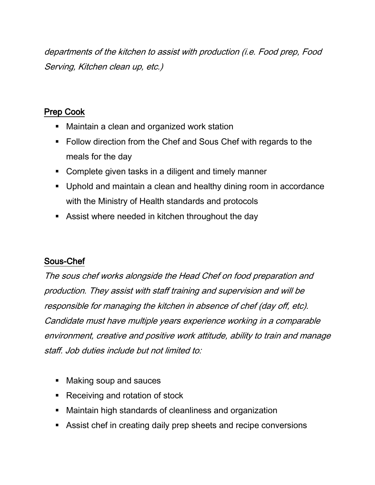departments of the kitchen to assist with production (i.e. Food prep, Food Serving, Kitchen clean up, etc.)

### Prep Cook

- **Maintain a clean and organized work station**
- Follow direction from the Chef and Sous Chef with regards to the meals for the day
- Complete given tasks in a diligent and timely manner
- Uphold and maintain a clean and healthy dining room in accordance with the Ministry of Health standards and protocols
- Assist where needed in kitchen throughout the day

## Sous-Chef

The sous chef works alongside the Head Chef on food preparation and production. They assist with staff training and supervision and will be responsible for managing the kitchen in absence of chef (day off, etc). Candidate must have multiple years experience working in a comparable environment, creative and positive work attitude, ability to train and manage staff. Job duties include but not limited to:

- Making soup and sauces
- Receiving and rotation of stock
- Maintain high standards of cleanliness and organization
- Assist chef in creating daily prep sheets and recipe conversions